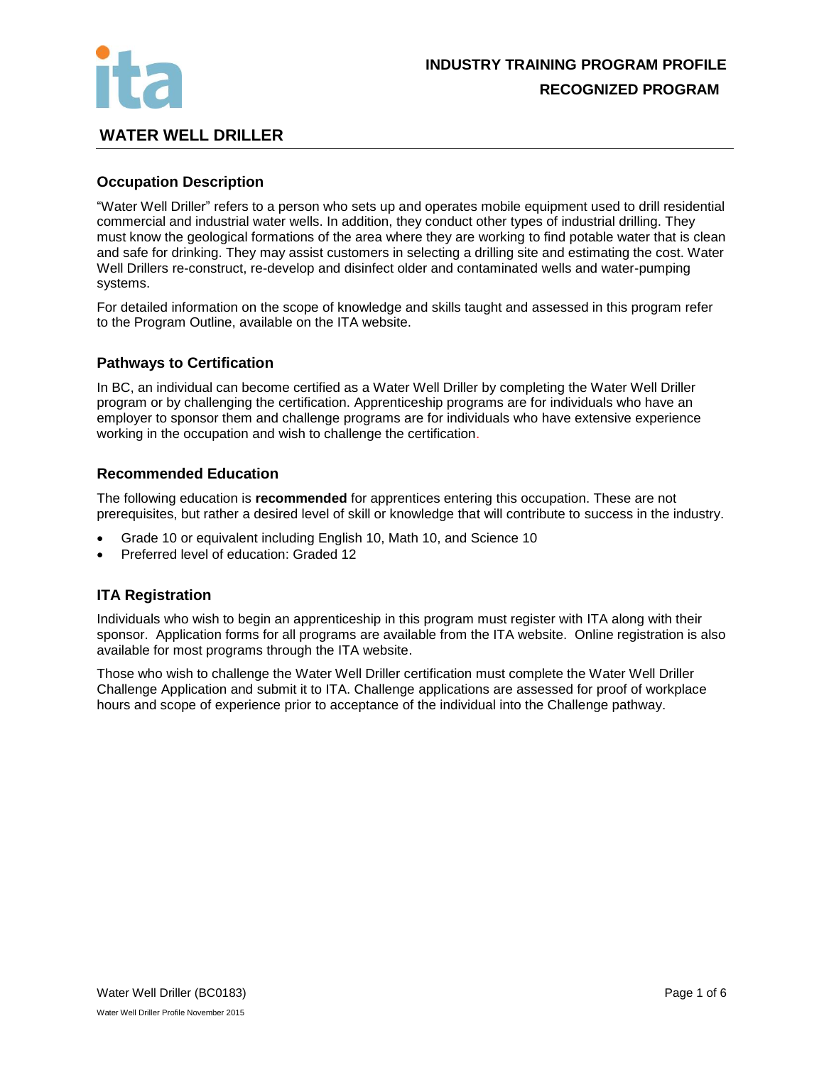

## **WATER WELL DRILLER**

## **Occupation Description**

"Water Well Driller" refers to a person who sets up and operates mobile equipment used to drill residential commercial and industrial water wells. In addition, they conduct other types of industrial drilling. They must know the geological formations of the area where they are working to find potable water that is clean and safe for drinking. They may assist customers in selecting a drilling site and estimating the cost. Water Well Drillers re-construct, re-develop and disinfect older and contaminated wells and water-pumping systems.

For detailed information on the scope of knowledge and skills taught and assessed in this program refer to the Program Outline, available on the ITA website.

## **Pathways to Certification**

In BC, an individual can become certified as a Water Well Driller by completing the Water Well Driller program or by challenging the certification. Apprenticeship programs are for individuals who have an employer to sponsor them and challenge programs are for individuals who have extensive experience working in the occupation and wish to challenge the certification.

## **Recommended Education**

The following education is **recommended** for apprentices entering this occupation. These are not prerequisites, but rather a desired level of skill or knowledge that will contribute to success in the industry.

- Grade 10 or equivalent including English 10, Math 10, and Science 10
- Preferred level of education: Graded 12

## **ITA Registration**

Individuals who wish to begin an apprenticeship in this program must register with ITA along with their sponsor. Application forms for all programs are available from the ITA website. Online registration is also available for most programs through the ITA website.

Those who wish to challenge the Water Well Driller certification must complete the Water Well Driller Challenge Application and submit it to ITA. Challenge applications are assessed for proof of workplace hours and scope of experience prior to acceptance of the individual into the Challenge pathway.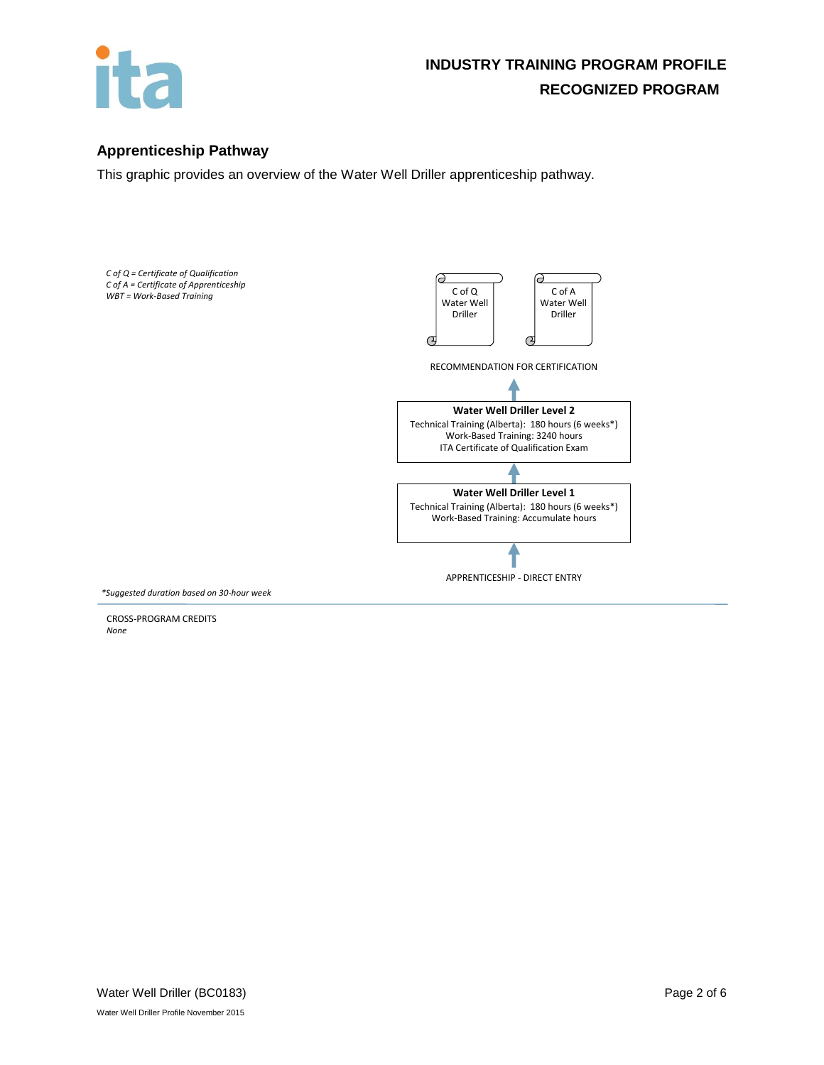

## **Apprenticeship Pathway**

This graphic provides an overview of the Water Well Driller apprenticeship pathway.



CROSS-PROGRAM CREDITS *None*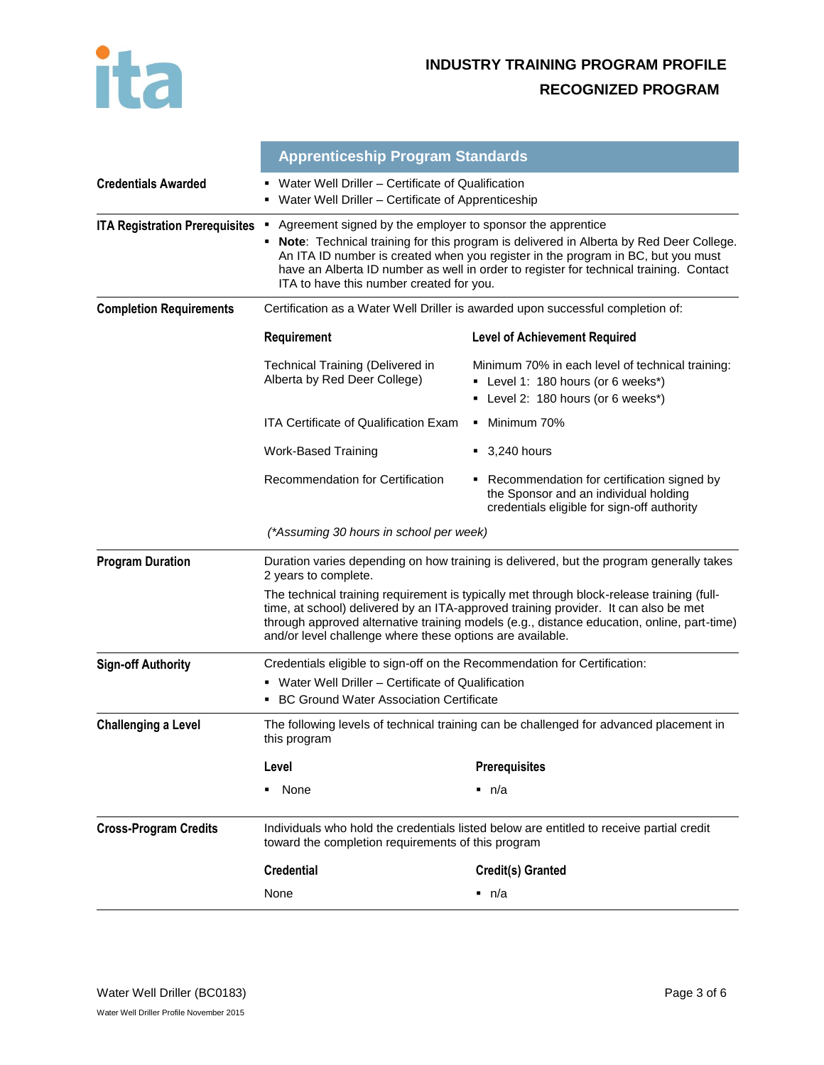

|                                       | <b>Apprenticeship Program Standards</b>                                                                                                                                                                                                                                                                                                                                                  |                                                                                                                                      |  |
|---------------------------------------|------------------------------------------------------------------------------------------------------------------------------------------------------------------------------------------------------------------------------------------------------------------------------------------------------------------------------------------------------------------------------------------|--------------------------------------------------------------------------------------------------------------------------------------|--|
| <b>Credentials Awarded</b>            | Water Well Driller - Certificate of Qualification<br>• Water Well Driller - Certificate of Apprenticeship                                                                                                                                                                                                                                                                                |                                                                                                                                      |  |
| <b>ITA Registration Prerequisites</b> | Agreement signed by the employer to sponsor the apprentice<br>٠<br>Note: Technical training for this program is delivered in Alberta by Red Deer College.<br>٠<br>An ITA ID number is created when you register in the program in BC, but you must<br>have an Alberta ID number as well in order to register for technical training. Contact<br>ITA to have this number created for you. |                                                                                                                                      |  |
| <b>Completion Requirements</b>        | Certification as a Water Well Driller is awarded upon successful completion of:                                                                                                                                                                                                                                                                                                          |                                                                                                                                      |  |
|                                       | Requirement                                                                                                                                                                                                                                                                                                                                                                              | <b>Level of Achievement Required</b>                                                                                                 |  |
|                                       | Technical Training (Delivered in<br>Alberta by Red Deer College)                                                                                                                                                                                                                                                                                                                         | Minimum 70% in each level of technical training:<br>• Level 1: 180 hours (or 6 weeks*)<br>• Level 2: 180 hours (or 6 weeks*)         |  |
|                                       | <b>ITA Certificate of Qualification Exam</b>                                                                                                                                                                                                                                                                                                                                             | • Minimum 70%                                                                                                                        |  |
|                                       | <b>Work-Based Training</b>                                                                                                                                                                                                                                                                                                                                                               | $\bullet$ 3,240 hours                                                                                                                |  |
|                                       | Recommendation for Certification                                                                                                                                                                                                                                                                                                                                                         | • Recommendation for certification signed by<br>the Sponsor and an individual holding<br>credentials eligible for sign-off authority |  |
|                                       | (*Assuming 30 hours in school per week)                                                                                                                                                                                                                                                                                                                                                  |                                                                                                                                      |  |
| <b>Program Duration</b>               | Duration varies depending on how training is delivered, but the program generally takes<br>2 years to complete.                                                                                                                                                                                                                                                                          |                                                                                                                                      |  |
|                                       | The technical training requirement is typically met through block-release training (full-<br>time, at school) delivered by an ITA-approved training provider. It can also be met<br>through approved alternative training models (e.g., distance education, online, part-time)<br>and/or level challenge where these options are available.                                              |                                                                                                                                      |  |
| <b>Sign-off Authority</b>             | Credentials eligible to sign-off on the Recommendation for Certification:                                                                                                                                                                                                                                                                                                                |                                                                                                                                      |  |
|                                       | • Water Well Driller – Certificate of Qualification<br>• BC Ground Water Association Certificate                                                                                                                                                                                                                                                                                         |                                                                                                                                      |  |
| <b>Challenging a Level</b>            | The following levels of technical training can be challenged for advanced placement in<br>this program                                                                                                                                                                                                                                                                                   |                                                                                                                                      |  |
|                                       | Level                                                                                                                                                                                                                                                                                                                                                                                    | <b>Prerequisites</b>                                                                                                                 |  |
|                                       | None<br>٠                                                                                                                                                                                                                                                                                                                                                                                | ■ n/a                                                                                                                                |  |
| <b>Cross-Program Credits</b>          | Individuals who hold the credentials listed below are entitled to receive partial credit<br>toward the completion requirements of this program                                                                                                                                                                                                                                           |                                                                                                                                      |  |
|                                       | <b>Credential</b>                                                                                                                                                                                                                                                                                                                                                                        | Credit(s) Granted                                                                                                                    |  |
|                                       | None                                                                                                                                                                                                                                                                                                                                                                                     | $\blacksquare$ n/a                                                                                                                   |  |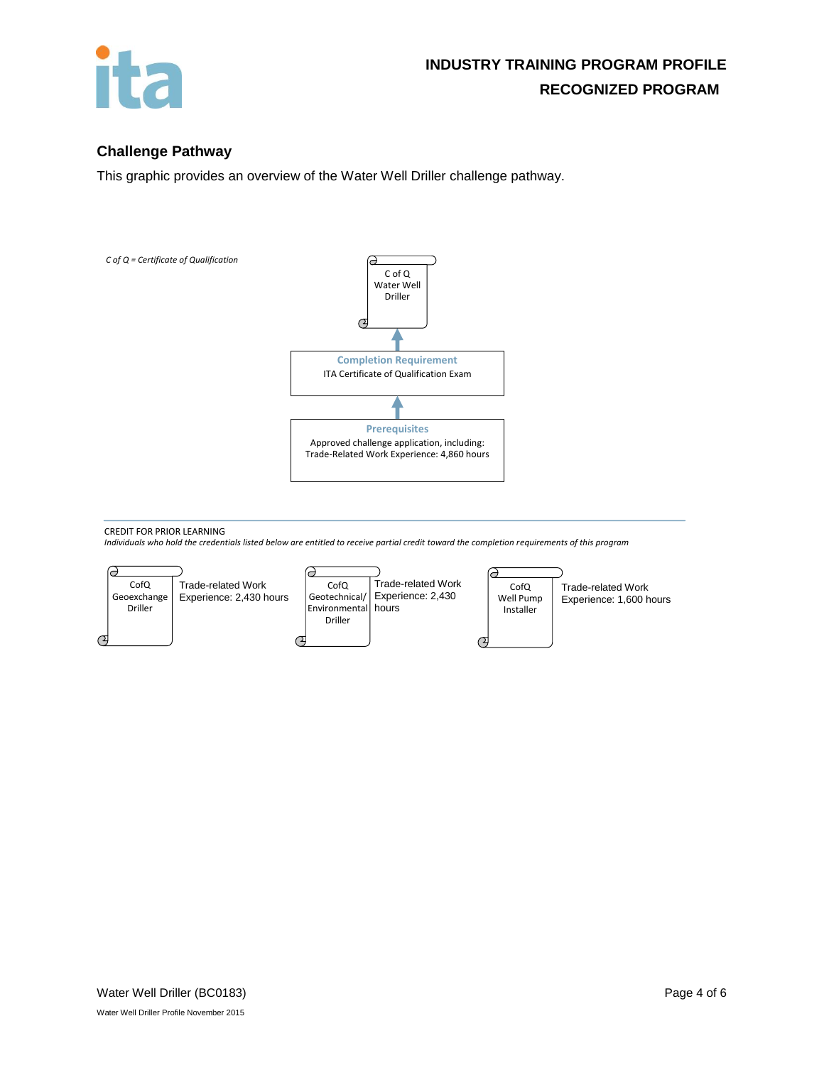

## **Challenge Pathway**

This graphic provides an overview of the Water Well Driller challenge pathway.



CREDIT FOR PRIOR LEARNING

*Individuals who hold the credentials listed below are entitled to receive partial credit toward the completion requirements of this program*

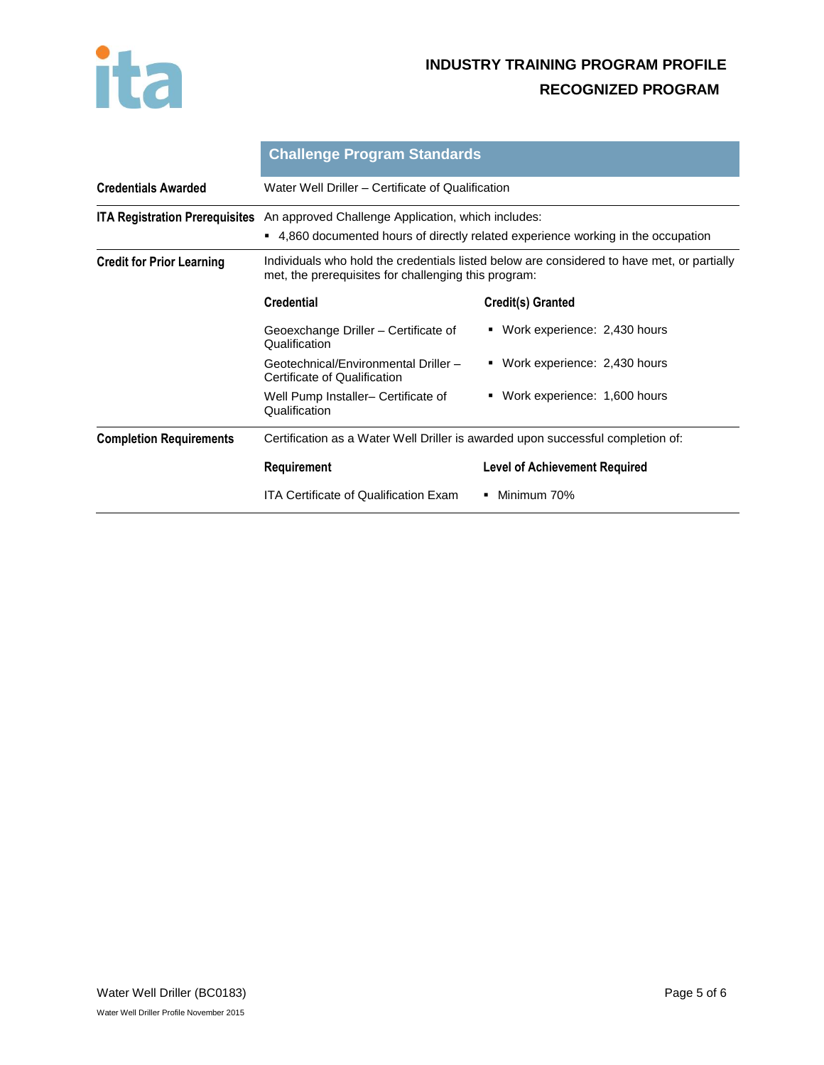

# **INDUSTRY TRAINING PROGRAM PROFILE RECOGNIZED PROGRAM**

|                                       | <b>Challenge Program Standards</b>                                                                                                                      |                                      |  |
|---------------------------------------|---------------------------------------------------------------------------------------------------------------------------------------------------------|--------------------------------------|--|
| <b>Credentials Awarded</b>            | Water Well Driller – Certificate of Qualification                                                                                                       |                                      |  |
| <b>ITA Registration Prerequisites</b> | An approved Challenge Application, which includes:<br>4,860 documented hours of directly related experience working in the occupation<br>$\blacksquare$ |                                      |  |
| <b>Credit for Prior Learning</b>      | Individuals who hold the credentials listed below are considered to have met, or partially<br>met, the prerequisites for challenging this program:      |                                      |  |
|                                       | <b>Credential</b>                                                                                                                                       | Credit(s) Granted                    |  |
|                                       | Geoexchange Driller – Certificate of<br>Qualification                                                                                                   | • Work experience: 2,430 hours       |  |
|                                       | Geotechnical/Environmental Driller -<br>Certificate of Qualification                                                                                    | Work experience: 2,430 hours         |  |
|                                       | Well Pump Installer- Certificate of<br>Qualification                                                                                                    | • Work experience: 1,600 hours       |  |
| <b>Completion Requirements</b>        | Certification as a Water Well Driller is awarded upon successful completion of:                                                                         |                                      |  |
|                                       | Requirement                                                                                                                                             | <b>Level of Achievement Required</b> |  |
|                                       | <b>ITA Certificate of Qualification Exam</b>                                                                                                            | Minimum 70%                          |  |